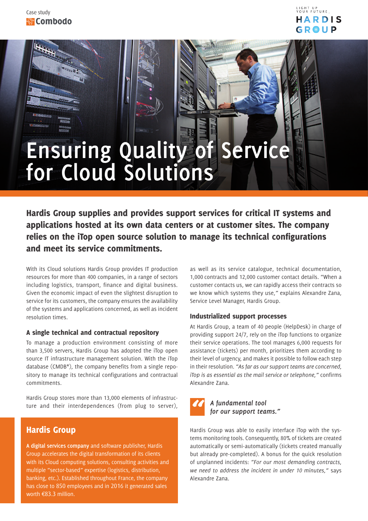

# **Ensuring Quality of Service for Cloud Solutions**

Hardis Group supplies and provides support services for critical IT systems and applications hosted at its own data centers or at customer sites. The company relies on the iTop open source solution to manage its technical configurations and meet its service commitments.

With its Cloud solutions Hardis Group provides IT production resources for more than 400 companies, in a range of sectors including logistics, transport, finance and digital business. Given the economic impact of even the slightest disruption to service for its customers, the company ensures the availability of the systems and applications concerned, as well as incident resolution times.

#### A single technical and contractual repository

To manage a production environment consisting of more than 3,500 servers, Hardis Group has adopted the iTop open source IT infrastructure management solution. With the iTop database (CMDB\*), the company benefits from a single repository to manage its technical configurations and contractual commitments.

Hardis Group stores more than 13,000 elements of infrastructure and their interdependences (from plug to server),

## Hardis Group

**A digital services company** and software publisher, Hardis Group accelerates the digital transformation of its clients with its Cloud computing solutions, consulting activities and multiple "sector-based*"* expertise (logistics, distribution, banking, etc.). Established throughout France, the company has close to 850 employees and in 2016 it generated sales worth  $€83.3$  million.

as well as its service catalogue, technical documentation, 1,000 contracts and 12,000 customer contact details. "When a customer contacts us, we can rapidly access their contracts so we know which systems they use,*"* explains Alexandre Zana, Service Level Manager, Hardis Group.

### Industrialized support processes

At Hardis Group, a team of 40 people (HelpDesk) in charge of providing support 24/7, rely on the iTop functions to organize their service operations. The tool manages 6,000 requests for assistance (tickets) per month, prioritizes them according to their level of urgency, and makes it possible to follow each step in their resolution. *"As far as our support teams are concerned, iTop is as essential as the mail service or telephone,"* confirms Alexandre Zana.



Hardis Group was able to easily interface iTop with the systems monitoring tools. Consequently, 80% of tickets are created automatically or semi-automatically (tickets created manually but already pre-completed). A bonus for the quick resolution of unplanned incidents: *"For our most demanding contracts, we need to address the incident in under 10 minutes,"* says Alexandre Zana.